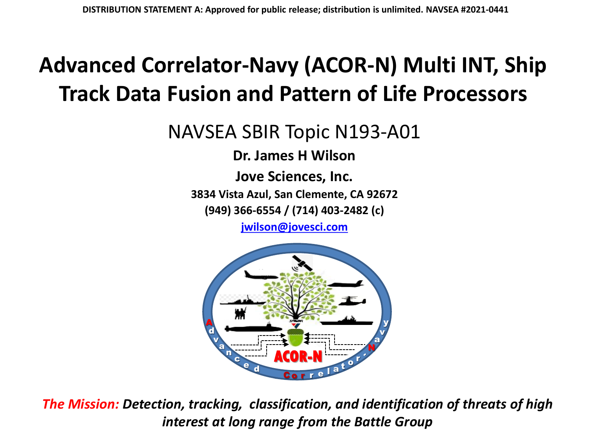#### **Advanced Correlator-Navy (ACOR-N) Multi INT, Ship Track Data Fusion and Pattern of Life Processors**

NAVSEA SBIR Topic N193-A01

**Dr. James H Wilson**

**Jove Sciences, Inc.**

**3834 Vista Azul, San Clemente, CA 92672**

**(949) 366-6554 / (714) 403-2482 (c)**

**[jwilson@jovesci.com](mailto:jwilson@jovesci.com)**



*The Mission: Detection, tracking, classification, and identification of threats of high interest at long range from the Battle Group*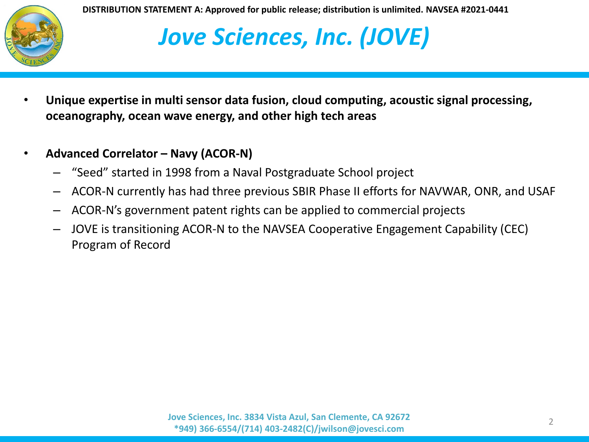

## *Jove Sciences, Inc. (JOVE)*

- **Unique expertise in multi sensor data fusion, cloud computing, acoustic signal processing, oceanography, ocean wave energy, and other high tech areas**
- **Advanced Correlator – Navy (ACOR-N)**
	- "Seed" started in 1998 from a Naval Postgraduate School project
	- ACOR-N currently has had three previous SBIR Phase II efforts for NAVWAR, ONR, and USAF
	- ACOR-N's government patent rights can be applied to commercial projects
	- JOVE is transitioning ACOR-N to the NAVSEA Cooperative Engagement Capability (CEC) Program of Record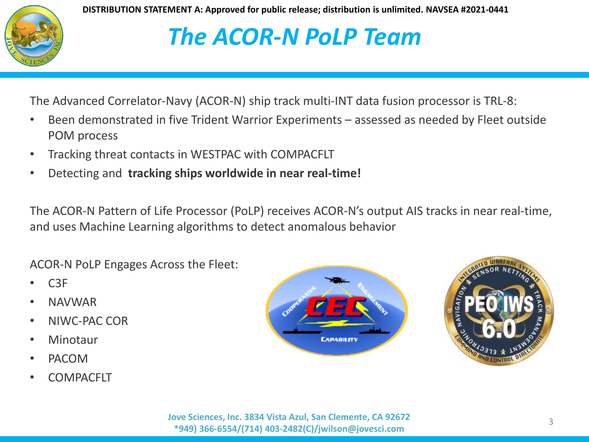

## *The ACOR-N PoLP Team*

The Advanced Correlator-Navy (ACOR-N) ship track multi-INT data fusion processor is TRL-8:

- Been demonstrated in five Trident Warrior Experiments assessed as needed by Fleet outside POM process
- Tracking threat contacts in WESTPAC with COMPACFLT
- Detecting and **tracking ships worldwide in near real-time!**

The ACOR-N Pattern of Life Processor (PoLP) receives ACOR-N's output AIS tracks in near real-time, and uses Machine Learning algorithms to detect anomalous behavior

ACOR-N PoLP Engages Across the Fleet:

- C3F
- NAVWAR
- NIWC-PAC COR
- Minotaur
- PACOM
- COMPACFLT



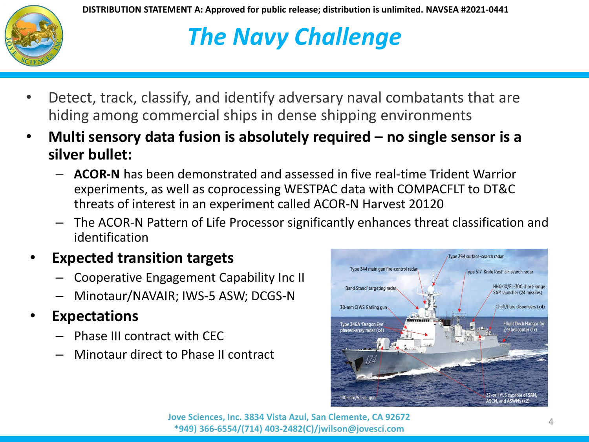

# *The Navy Challenge*

- Detect, track, classify, and identify adversary naval combatants that are hiding among commercial ships in dense shipping environments
- **Multi sensory data fusion is absolutely required – no single sensor is a silver bullet:**
	- **ACOR-N** has been demonstrated and assessed in five real-time Trident Warrior experiments, as well as coprocessing WESTPAC data with COMPACFLT to DT&C threats of interest in an experiment called ACOR-N Harvest 20120
	- The ACOR-N Pattern of Life Processor significantly enhances threat classification and identification

#### • **Expected transition targets**

- Cooperative Engagement Capability Inc II
- Minotaur/NAVAIR; IWS-5 ASW; DCGS-N
- **Expectations**
	- Phase III contract with CEC
	- Minotaur direct to Phase II contract



<sup>4</sup> **Jove Sciences, Inc. 3834 Vista Azul, San Clemente, CA 92672 \*949) 366-6554/(714) 403-2482(C)/jwilson@jovesci.com**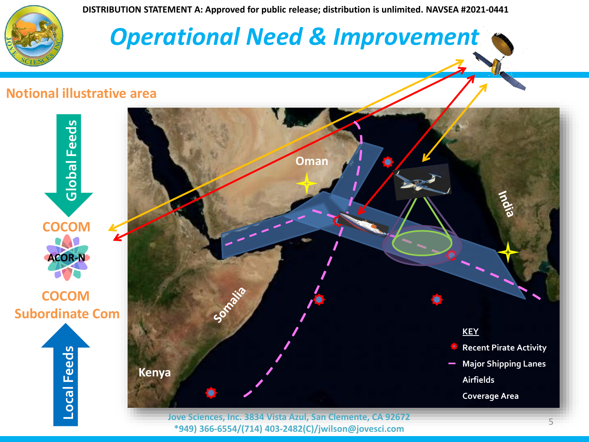

#### *Operational Need & Improvement*

#### **Notional illustrative area**



**\*949) 366-6554/(714) 403-2482(C)/jwilson@jovesci.com**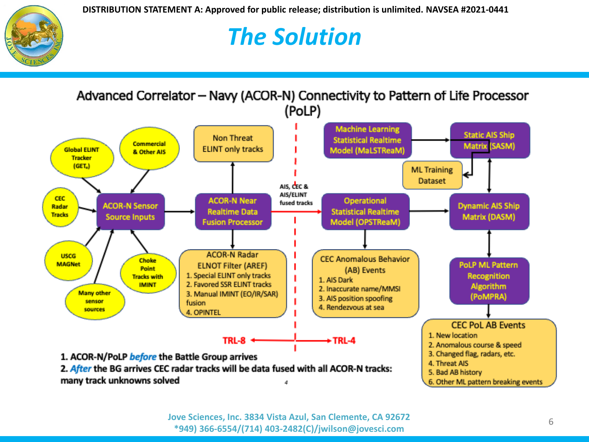

## *The Solution*

Advanced Correlator - Navy (ACOR-N) Connectivity to Pattern of Life Processor (PoLP) **Machine Learning Static AIS Ship Non Threat Statistical Realtime Commercial Matrix (SASM) ELINT only tracks Global ELINT** Model (MaLSTReaM) & Other AIS **Tracker**  $(GET_n)$ **ML** Training **Dataset** AIS, CEC & AIS/ELINT **CEC ACOR-N Near** Operational fused tracks **ACOR-N Sensor Dynamic AIS Ship** Radar **Realtime Data Statistical Realtime Tracks** Matrix (DASM) **Source Inputs** Model (OPSTReaM) **Fusion Processor ACOR-N Radar USCG CEC Anomalous Behavior Choke PoLP ML Pattern MAGNet ELNOT Filter (AREF) Point** (AB) Events 1. Special ELINT only tracks **Recognition Tracks with** 1. AIS Dark 2. Favored SSR ELINT tracks **IMINT** Algorithm 2. Inaccurate name/MMSI **Many other** 3. Manual IMINT (EO/IR/SAR) (PoMPRA) 3. AIS position spoofing sensor fusion 4. Rendezvous at sea sources 4. OPINTEL **CEC PoL AB Events** 1. New location **TRL-8** +TRL-4 2. Anomalous course & speed 3. Changed flag, radars, etc. 1. ACOR-N/PoLP before the Battle Group arrives 4. Threat AIS 2. After the BG arrives CEC radar tracks will be data fused with all ACOR-N tracks: 5. Bad AB history many track unknowns solved 6. Other ML pattern breaking events 4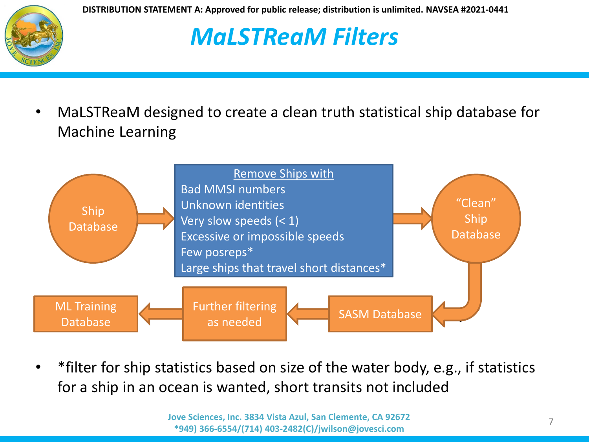

## *MaLSTReaM Filters*

• MaLSTReaM designed to create a clean truth statistical ship database for Machine Learning



• \*filter for ship statistics based on size of the water body, e.g., if statistics for a ship in an ocean is wanted, short transits not included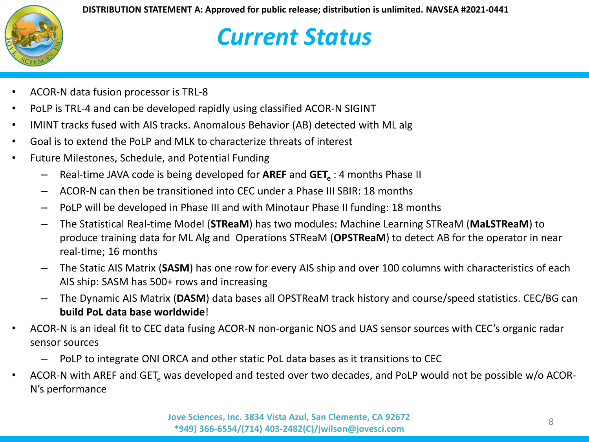#### *Current Status*

- ACOR-N data fusion processor is TRL-8
- PoLP is TRL-4 and can be developed rapidly using classified ACOR-N SIGINT
- IMINT tracks fused with AIS tracks. Anomalous Behavior (AB) detected with ML alg
- Goal is to extend the PoLP and MLK to characterize threats of interest
- Future Milestones, Schedule, and Potential Funding
	- $-$  Real-time JAVA code is being developed for **AREF** and **GET**<sub>a</sub>: 4 months Phase II
	- ACOR-N can then be transitioned into CEC under a Phase III SBIR: 18 months
	- PoLP will be developed in Phase III and with Minotaur Phase II funding: 18 months
	- The Statistical Real-time Model (**STReaM**) has two modules: Machine Learning STReaM (**MaLSTReaM**) to produce training data for ML Alg and Operations STReaM (**OPSTReaM**) to detect AB for the operator in near real-time; 16 months
	- The Static AIS Matrix (**SASM**) has one row for every AIS ship and over 100 columns with characteristics of each AIS ship: SASM has 500+ rows and increasing
	- The Dynamic AIS Matrix (**DASM**) data bases all OPSTReaM track history and course/speed statistics. CEC/BG can **build PoL data base worldwide**!
- ACOR-N is an ideal fit to CEC data fusing ACOR-N non-organic NOS and UAS sensor sources with CEC's organic radar sensor sources
	- PoLP to integrate ONI ORCA and other static PoL data bases as it transitions to CEC
- ACOR-N with AREF and GET, was developed and tested over two decades, and PoLP would not be possible w/o ACOR-N's performance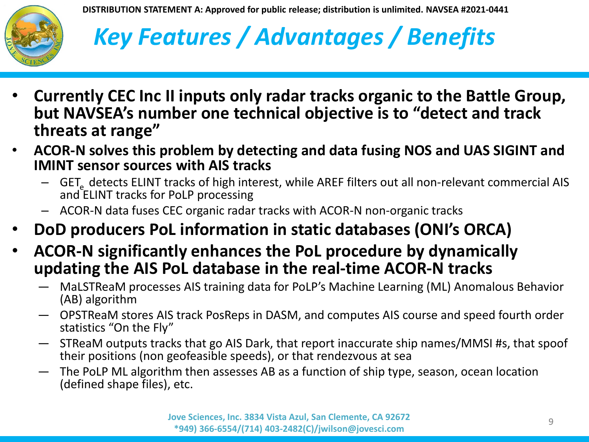

# *Key Features / Advantages / Benefits*

- **Currently CEC Inc II inputs only radar tracks organic to the Battle Group, but NAVSEA's number one technical objective is to "detect and track threats at range"**
- **ACOR-N solves this problem by detecting and data fusing NOS and UAS SIGINT and IMINT sensor sources with AIS tracks**
	- GET<sub>a</sub> detects ELINT tracks of high interest, while AREF filters out all non-relevant commercial AIS and ELINT tracks for PoLP processing
	- ACOR-N data fuses CEC organic radar tracks with ACOR-N non-organic tracks
- **DoD producers PoL information in static databases (ONI's ORCA)**
- **ACOR-N significantly enhances the PoL procedure by dynamically updating the AIS PoL database in the real-time ACOR-N tracks**
	- MaLSTReaM processes AIS training data for PoLP's Machine Learning (ML) Anomalous Behavior (AB) algorithm
	- OPSTReaM stores AIS track PosReps in DASM, and computes AIS course and speed fourth order statistics "On the Fly"
	- STReaM outputs tracks that go AIS Dark, that report inaccurate ship names/MMSI #s, that spoof their positions (non geofeasible speeds), or that rendezvous at sea
	- The PoLP ML algorithm then assesses AB as a function of ship type, season, ocean location (defined shape files), etc.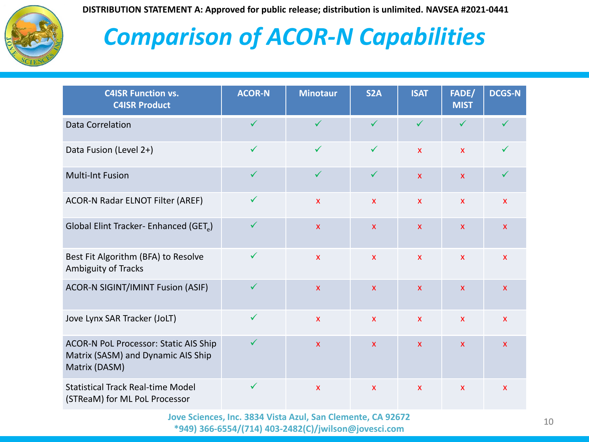

## *Comparison of ACOR-N Capabilities*

| <b>C4ISR Function vs.</b><br><b>C4ISR Product</b>                                                   | <b>ACOR-N</b> | <b>Minotaur</b>           | S <sub>2</sub> A | <b>ISAT</b>               | FADE/<br><b>MIST</b> | <b>DCGS-N</b> |
|-----------------------------------------------------------------------------------------------------|---------------|---------------------------|------------------|---------------------------|----------------------|---------------|
| <b>Data Correlation</b>                                                                             | $\checkmark$  | $\checkmark$              | $\checkmark$     | $\checkmark$              |                      |               |
| Data Fusion (Level 2+)                                                                              | $\checkmark$  | $\checkmark$              | $\checkmark$     | $\mathsf{x}$              | $\mathbf{x}$         | ✓             |
| <b>Multi-Int Fusion</b>                                                                             | $\checkmark$  | $\checkmark$              | $\checkmark$     | $\mathsf{x}$              | $\mathsf{x}$         | ✓             |
| ACOR-N Radar ELNOT Filter (AREF)                                                                    | $\checkmark$  | $\mathbf{x}$              | $\mathbf{x}$     | $\mathsf{x}$              | $\mathsf{x}$         | $\mathsf{x}$  |
| Global Elint Tracker- Enhanced (GET <sub>e</sub> )                                                  | $\checkmark$  | $\mathbf{x}$              | $\mathsf{x}$     | $\mathsf{x}$              | $\mathbf{x}$         | $\mathsf{x}$  |
| Best Fit Algorithm (BFA) to Resolve<br>Ambiguity of Tracks                                          | $\checkmark$  | $\mathbf x$               | $\mathbf{x}$     | $\mathsf{x}$              | $\mathsf{x}$         | $\mathsf{x}$  |
| ACOR-N SIGINT/IMINT Fusion (ASIF)                                                                   | $\checkmark$  | $\boldsymbol{\mathsf{x}}$ | $\mathsf{x}$     | $\mathsf{x}$              | $\mathsf{x}$         | $\mathsf{x}$  |
| Jove Lynx SAR Tracker (JoLT)                                                                        | $\checkmark$  | $\mathbf{x}$              | $\mathsf{x}$     | $\mathsf{x}$              | $\mathsf{x}$         | $\mathbf{x}$  |
| <b>ACOR-N PoL Processor: Static AIS Ship</b><br>Matrix (SASM) and Dynamic AIS Ship<br>Matrix (DASM) | $\checkmark$  | $\pmb{\mathsf{x}}$        | $\mathsf{x}$     | $\boldsymbol{\mathsf{X}}$ | $\mathsf{x}$         | $\mathsf{x}$  |
| <b>Statistical Track Real-time Model</b><br>(STReaM) for ML PoL Processor                           | $\checkmark$  | $\mathbf x$               | $\mathsf{x}$     | $\boldsymbol{\mathsf{X}}$ | $\mathsf{x}$         | $\mathsf{x}$  |

<sup>10</sup> **Jove Sciences, Inc. 3834 Vista Azul, San Clemente, CA 92672 \*949) 366-6554/(714) 403-2482(C)/jwilson@jovesci.com**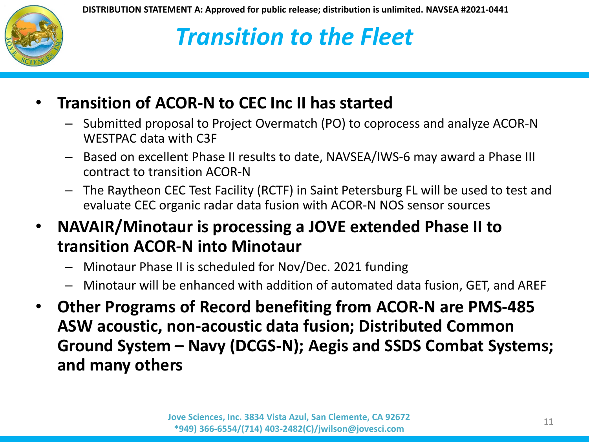

## *Transition to the Fleet*

#### • **Transition of ACOR-N to CEC Inc II has started**

- Submitted proposal to Project Overmatch (PO) to coprocess and analyze ACOR-N WESTPAC data with C3F
- Based on excellent Phase II results to date, NAVSEA/IWS-6 may award a Phase III contract to transition ACOR-N
- The Raytheon CEC Test Facility (RCTF) in Saint Petersburg FL will be used to test and evaluate CEC organic radar data fusion with ACOR-N NOS sensor sources
- **NAVAIR/Minotaur is processing a JOVE extended Phase II to transition ACOR-N into Minotaur** 
	- Minotaur Phase II is scheduled for Nov/Dec. 2021 funding
	- Minotaur will be enhanced with addition of automated data fusion, GET, and AREF
- **Other Programs of Record benefiting from ACOR-N are PMS-485 ASW acoustic, non-acoustic data fusion; Distributed Common Ground System – Navy (DCGS-N); Aegis and SSDS Combat Systems; and many others**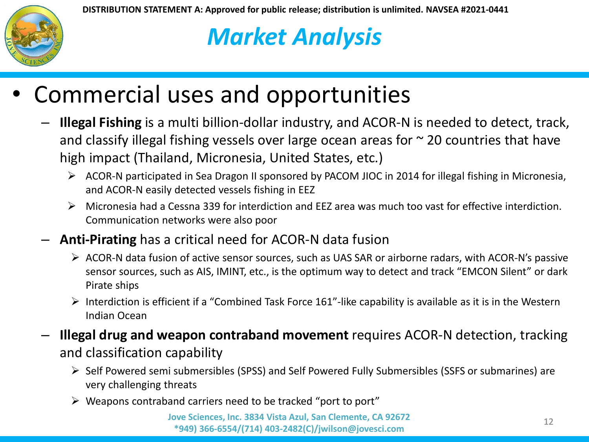

## *Market Analysis*

### • Commercial uses and opportunities

- **Illegal Fishing** is a multi billion-dollar industry, and ACOR-N is needed to detect, track, and classify illegal fishing vessels over large ocean areas for  $\sim$  20 countries that have high impact (Thailand, Micronesia, United States, etc.)
	- ACOR-N participated in Sea Dragon II sponsored by PACOM JIOC in 2014 for illegal fishing in Micronesia, and ACOR-N easily detected vessels fishing in EEZ
	- $\triangleright$  Micronesia had a Cessna 339 for interdiction and EEZ area was much too vast for effective interdiction. Communication networks were also poor
- **Anti-Pirating** has a critical need for ACOR-N data fusion
	- ACOR-N data fusion of active sensor sources, such as UAS SAR or airborne radars, with ACOR-N's passive sensor sources, such as AIS, IMINT, etc., is the optimum way to detect and track "EMCON Silent" or dark Pirate ships
	- $\triangleright$  Interdiction is efficient if a "Combined Task Force 161"-like capability is available as it is in the Western Indian Ocean
- **Illegal drug and weapon contraband movement** requires ACOR-N detection, tracking and classification capability
	- $\triangleright$  Self Powered semi submersibles (SPSS) and Self Powered Fully Submersibles (SSFS or submarines) are very challenging threats
	- $\triangleright$  Weapons contraband carriers need to be tracked "port to port"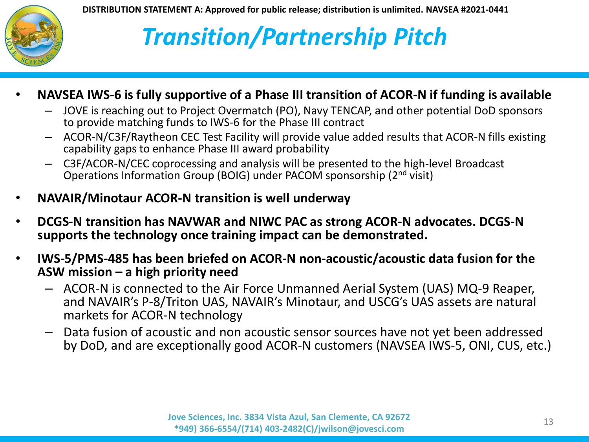

# *Transition/Partnership Pitch*

- **NAVSEA IWS-6 is fully supportive of a Phase III transition of ACOR-N if funding is available**
	- JOVE is reaching out to Project Overmatch (PO), Navy TENCAP, and other potential DoD sponsors to provide matching funds to IWS-6 for the Phase III contract
	- ACOR-N/C3F/Raytheon CEC Test Facility will provide value added results that ACOR-N fills existing capability gaps to enhance Phase III award probability
	- C3F/ACOR-N/CEC coprocessing and analysis will be presented to the high-level Broadcast Operations Information Group (BOIG) under PACOM sponsorship (2nd visit)
- **NAVAIR/Minotaur ACOR-N transition is well underway**
- **DCGS-N transition has NAVWAR and NIWC PAC as strong ACOR-N advocates. DCGS-N supports the technology once training impact can be demonstrated.**
- **IWS-5/PMS-485 has been briefed on ACOR-N non-acoustic/acoustic data fusion for the ASW mission – a high priority need**
	- ACOR-N is connected to the Air Force Unmanned Aerial System (UAS) MQ-9 Reaper, and NAVAIR's P-8/Triton UAS, NAVAIR's Minotaur, and USCG's UAS assets are natural markets for ACOR-N technology
	- Data fusion of acoustic and non acoustic sensor sources have not yet been addressed by DoD, and are exceptionally good ACOR-N customers (NAVSEA IWS-5, ONI, CUS, etc.)